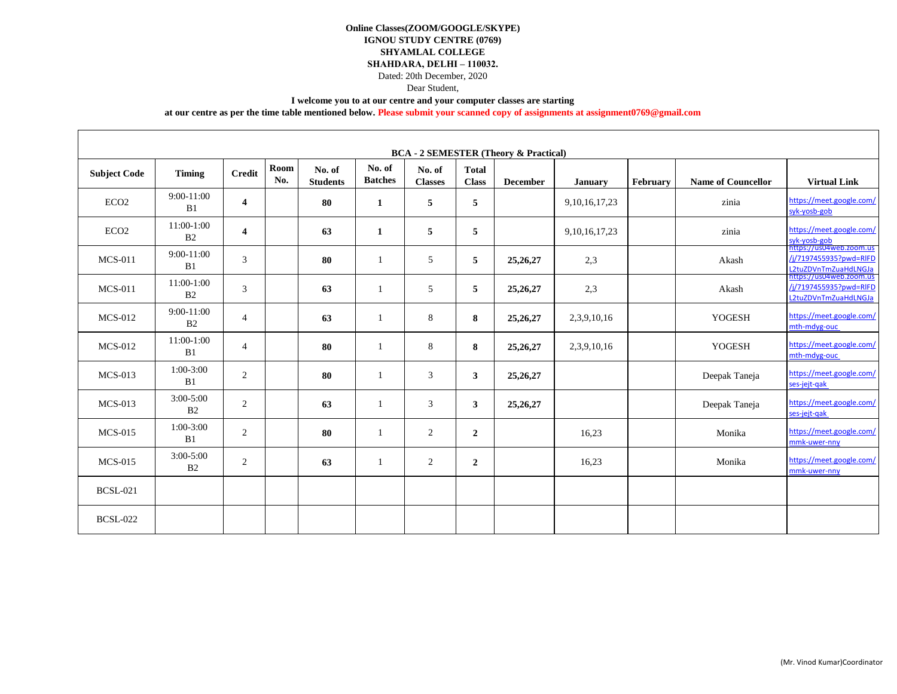Dated: 20th December, 2020

## Dear Student,

#### **I welcome you to at our centre and your computer classes are starting**

**at our centre as per the time table mentioned below. Please submit your scanned copy of assignments at assignment0769@gmail.com**

| <b>BCA - 2 SEMESTER (Theory &amp; Practical)</b> |                                 |                         |             |                           |                          |                          |                              |                 |                   |          |                           |                                                                           |
|--------------------------------------------------|---------------------------------|-------------------------|-------------|---------------------------|--------------------------|--------------------------|------------------------------|-----------------|-------------------|----------|---------------------------|---------------------------------------------------------------------------|
| <b>Subject Code</b>                              | <b>Timing</b>                   | <b>Credit</b>           | Room<br>No. | No. of<br><b>Students</b> | No. of<br><b>Batches</b> | No. of<br><b>Classes</b> | <b>Total</b><br><b>Class</b> | <b>December</b> | <b>January</b>    | February | <b>Name of Councellor</b> | <b>Virtual Link</b>                                                       |
| ECO <sub>2</sub>                                 | $9:00-11:00$<br>B1              | $\overline{\mathbf{4}}$ |             | 80                        | 1                        | 5                        | 5                            |                 | 9, 10, 16, 17, 23 |          | zinia                     | https://meet.google.com/<br>syk-yosb-gob                                  |
| ECO <sub>2</sub>                                 | $11:00-1:00$<br>B2              | 4                       |             | 63                        | 1                        | 5                        | 5                            |                 | 9, 10, 16, 17, 23 |          | zinia                     | https://meet.google.com/<br>syk-yosb-gob                                  |
| $MCS-011$                                        | $9:00-11:00$<br>B1              | 3                       |             | 80                        | -1                       | 5                        | 5                            | 25, 26, 27      | 2,3               |          | Akash                     | https://us04web.zoom.us<br>/i/7197455935?pwd=RIFD<br>L2tuZDVnTmZuaHdLNGJa |
| $MCS-011$                                        | 11:00-1:00<br>B2                | 3                       |             | 63                        | $\overline{1}$           | 5                        | 5                            | 25, 26, 27      | 2,3               |          | Akash                     | https://us04web.zoom.us<br>/j/7197455935?pwd=RIFD<br>L2tuZDVnTmZuaHdLNGJa |
| <b>MCS-012</b>                                   | $9:00-11:00$<br>B <sub>2</sub>  | $\overline{4}$          |             | 63                        | $\mathbf{1}$             | 8                        | 8                            | 25, 26, 27      | 2,3,9,10,16       |          | <b>YOGESH</b>             | https://meet.google.com/<br>mth-mdyg-ouc                                  |
| <b>MCS-012</b>                                   | 11:00-1:00<br>B1                | $\overline{4}$          |             | 80                        | 1                        | 8                        | 8                            | 25, 26, 27      | 2,3,9,10,16       |          | <b>YOGESH</b>             | https://meet.google.com/<br>mth-mdyg-ouc                                  |
| $MCS-013$                                        | 1:00-3:00<br>B1                 | $\overline{2}$          |             | 80                        | $\mathbf{1}$             | 3                        | 3 <sup>1</sup>               | 25, 26, 27      |                   |          | Deepak Taneja             | https://meet.google.com/<br>ses-jejt-gak                                  |
| $MCS-013$                                        | $3:00 - 5:00$<br>B <sub>2</sub> | $\overline{2}$          |             | 63                        | $\mathbf{1}$             | 3                        | 3                            | 25, 26, 27      |                   |          | Deepak Taneja             | https://meet.google.com/<br>ses-jejt-gak                                  |
| <b>MCS-015</b>                                   | 1:00-3:00<br>B1                 | $\overline{2}$          |             | 80                        | $\mathbf{1}$             | 2                        | $\boldsymbol{2}$             |                 | 16.23             |          | Monika                    | https://meet.google.com/<br>mmk-uwer-nny                                  |
| <b>MCS-015</b>                                   | $3:00 - 5:00$<br>B <sub>2</sub> | $\overline{2}$          |             | 63                        | 1                        | 2                        | $\overline{2}$               |                 | 16,23             |          | Monika                    | https://meet.google.com/<br>mmk-uwer-nny                                  |
| <b>BCSL-021</b>                                  |                                 |                         |             |                           |                          |                          |                              |                 |                   |          |                           |                                                                           |
| <b>BCSL-022</b>                                  |                                 |                         |             |                           |                          |                          |                              |                 |                   |          |                           |                                                                           |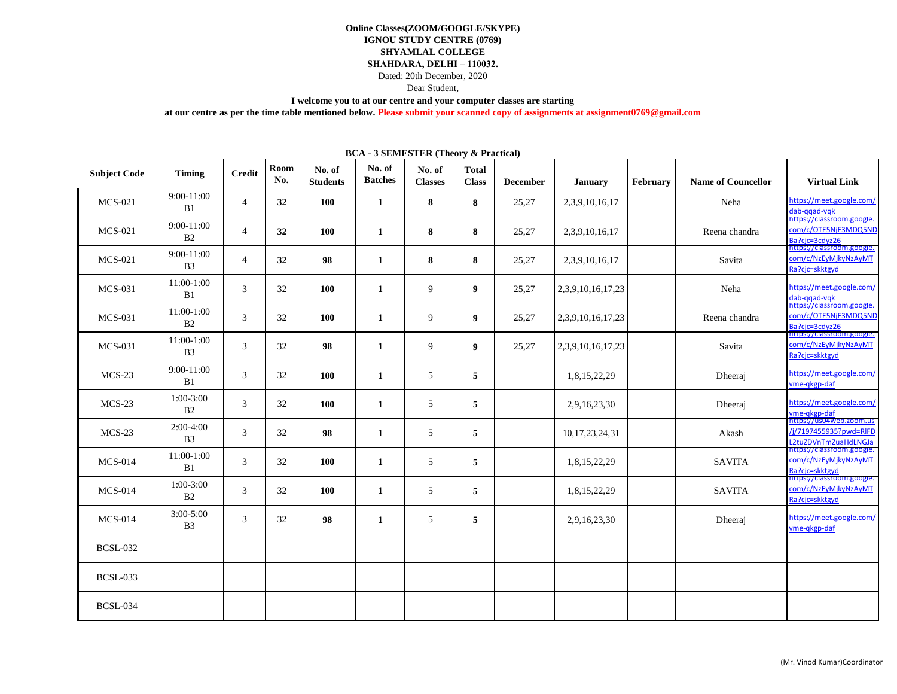Dated: 20th December, 2020

Dear Student,

**I welcome you to at our centre and your computer classes are starting** 

**at our centre as per the time table mentioned below. Please submit your scanned copy of assignments at assignment0769@gmail.com**

| <b>BUA</b> - 3 SEMESTER (Theory & Practical) |                                |                |             |                           |                          |                          |                              |                 |                     |          |                           |                                                                                                  |
|----------------------------------------------|--------------------------------|----------------|-------------|---------------------------|--------------------------|--------------------------|------------------------------|-----------------|---------------------|----------|---------------------------|--------------------------------------------------------------------------------------------------|
| <b>Subject Code</b>                          | Timing                         | <b>Credit</b>  | Room<br>No. | No. of<br><b>Students</b> | No. of<br><b>Batches</b> | No. of<br><b>Classes</b> | <b>Total</b><br><b>Class</b> | <b>December</b> | <b>January</b>      | February | <b>Name of Councellor</b> | <b>Virtual Link</b>                                                                              |
| <b>MCS-021</b>                               | 9:00-11:00<br>B1               | $\overline{4}$ | 32          | 100                       | $\mathbf{1}$             | 8                        | 8                            | 25,27           | 2,3,9,10,16,17      |          | Neha                      | https://meet.google.com/<br>dab-ggad-vgk                                                         |
| <b>MCS-021</b>                               | $9:00-11:00$<br>B2             | $\overline{4}$ | 32          | 100                       | 1                        | 8                        | 8                            | 25,27           | 2,3,9,10,16,17      |          | Reena chandra             | https://classroom.google.<br>com/c/OTE5NiE3MDQ5ND<br>Ba?cjc=3cdyz26<br>https://classroom.google. |
| <b>MCS-021</b>                               | $9:00-11:00$<br>B <sub>3</sub> | $\overline{4}$ | 32          | 98                        | $\mathbf{1}$             | 8                        | 8                            | 25,27           | 2, 3, 9, 10, 16, 17 |          | Savita                    | com/c/NzEyMikyNzAyMT<br>Ra?cjc=skktgyd                                                           |
| <b>MCS-031</b>                               | 11:00-1:00<br>B1               | 3              | 32          | 100                       | $\mathbf{1}$             | 9                        | 9                            | 25,27           | 2,3,9,10,16,17,23   |          | Neha                      | https://meet.google.com/<br>dab-ggad-vgk                                                         |
| $MCS-031$                                    | 11:00-1:00<br>B2               | 3              | 32          | 100                       | 1                        | 9                        | 9 <sup>1</sup>               | 25,27           | 2,3,9,10,16,17,23   |          | Reena chandra             | https://classroom.google.<br>com/c/OTE5NjE3MDQ5ND<br>Ba?cjc=3cdyz26                              |
| <b>MCS-031</b>                               | 11:00-1:00<br>B <sub>3</sub>   | 3              | 32          | 98                        | 1                        | 9                        | 9                            | 25,27           | 2,3,9,10,16,17,23   |          | Savita                    | nttps://classroom.google.<br>com/c/NzEyMjkyNzAyMT<br>Ra?cic=skktgyd                              |
| $MCS-23$                                     | $9:00-11:00$<br>B1             | 3              | 32          | 100                       | $\mathbf{1}$             | 5                        | 5                            |                 | 1,8,15,22,29        |          | Dheeraj                   | https://meet.google.com/<br>vme-gkgp-daf                                                         |
| $MCS-23$                                     | $1:00-3:00$<br>B2              | 3              | 32          | 100                       | 1                        | 5                        | 5                            |                 | 2,9,16,23,30        |          | Dheeraj                   | https://meet.google.com/<br>vme-qkgp-daf<br>https://us04web.zoom.us                              |
| $MCS-23$                                     | $2:00-4:00$<br>B <sub>3</sub>  | 3              | 32          | 98                        | $\mathbf{1}$             | 5                        | 5                            |                 | 10, 17, 23, 24, 31  |          | Akash                     | /i/7197455935?pwd=RIFD<br>L2tuZDVnTmZuaHdLNGJa                                                   |
| <b>MCS-014</b>                               | 11:00-1:00<br>B1               | 3              | 32          | 100                       | 1                        | 5                        | 5                            |                 | 1,8,15,22,29        |          | <b>SAVITA</b>             | https://classroom.google.<br>com/c/NzEyMjkyNzAyMT<br>Ra?cic=skktgyd                              |
| <b>MCS-014</b>                               | 1:00-3:00<br>B2                | 3              | 32          | 100                       | 1                        | 5                        | 5                            |                 | 1,8,15,22,29        |          | <b>SAVITA</b>             | ittps://classroom.google.<br>com/c/NzEyMjkyNzAyMT<br>Ra?cjc=skktgyd                              |
| <b>MCS-014</b>                               | $3:00 - 5:00$<br><b>B3</b>     | 3              | 32          | 98                        | 1                        | 5                        | 5                            |                 | 2,9,16,23,30        |          | Dheeraj                   | https://meet.google.com/<br>vme-gkgp-daf                                                         |
| <b>BCSL-032</b>                              |                                |                |             |                           |                          |                          |                              |                 |                     |          |                           |                                                                                                  |
| <b>BCSL-033</b>                              |                                |                |             |                           |                          |                          |                              |                 |                     |          |                           |                                                                                                  |
| <b>BCSL-034</b>                              |                                |                |             |                           |                          |                          |                              |                 |                     |          |                           |                                                                                                  |

**BCA - 3 SEMESTER (Theory & Practical)**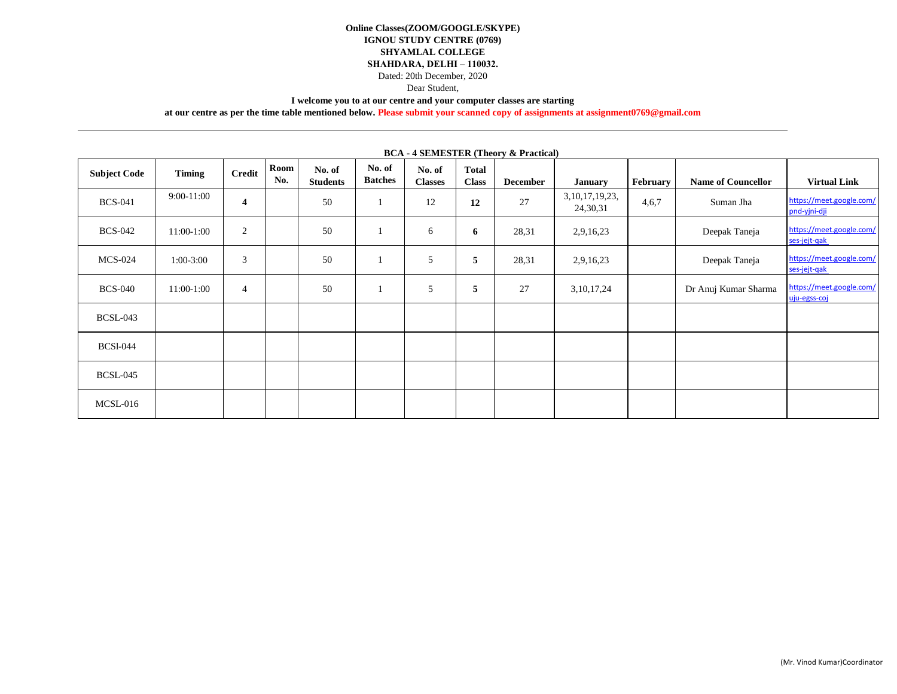Dated: 20th December, 2020

Dear Student,

**I welcome you to at our centre and your computer classes are starting** 

**at our centre as per the time table mentioned below. Please submit your scanned copy of assignments at assignment0769@gmail.com**

| <b>Subject Code</b> | Timing       | <b>Credit</b>           | Room<br>No. | No. of<br><b>Students</b> | No. of<br><b>Batches</b> | No. of<br><b>Classes</b> | <b>Total</b><br><b>Class</b> | <b>December</b> | <b>January</b>                 | February | <b>Name of Councellor</b> | <b>Virtual Link</b>                      |
|---------------------|--------------|-------------------------|-------------|---------------------------|--------------------------|--------------------------|------------------------------|-----------------|--------------------------------|----------|---------------------------|------------------------------------------|
| <b>BCS-041</b>      | $9:00-11:00$ | $\overline{\mathbf{4}}$ |             | 50                        | $\mathbf{I}$             | 12                       | 12                           | 27              | 3, 10, 17, 19, 23,<br>24,30,31 | 4,6,7    | Suman Jha                 | https://meet.google.com/<br>pnd-yjni-dji |
| <b>BCS-042</b>      | $11:00-1:00$ | $\overline{2}$          |             | 50                        | -1                       | 6                        | 6                            | 28,31           | 2,9,16,23                      |          | Deepak Taneja             | https://meet.google.com/<br>ses-jejt-gak |
| <b>MCS-024</b>      | $1:00-3:00$  | 3                       |             | 50                        | $\mathbf{I}$             | 5                        | 5                            | 28,31           | 2,9,16,23                      |          | Deepak Taneja             | https://meet.google.com/<br>ses-jejt-gak |
| <b>BCS-040</b>      | 11:00-1:00   | 4                       |             | 50                        |                          | 5                        | 5                            | 27              | 3, 10, 17, 24                  |          | Dr Anuj Kumar Sharma      | https://meet.google.com/<br>uju-egss-coj |
| <b>BCSL-043</b>     |              |                         |             |                           |                          |                          |                              |                 |                                |          |                           |                                          |
| <b>BCSI-044</b>     |              |                         |             |                           |                          |                          |                              |                 |                                |          |                           |                                          |
| <b>BCSL-045</b>     |              |                         |             |                           |                          |                          |                              |                 |                                |          |                           |                                          |
| MCSL-016            |              |                         |             |                           |                          |                          |                              |                 |                                |          |                           |                                          |

**BCA - 4 SEMESTER (Theory & Practical)**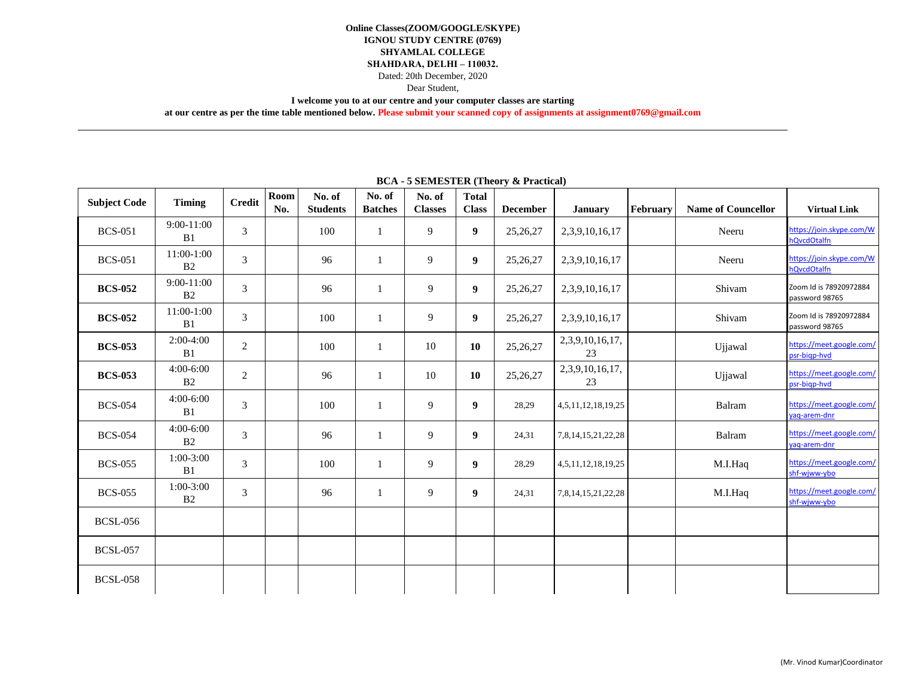Dated: 20th December, 2020

Dear Student,

**I welcome you to at our centre and your computer classes are starting** 

**at our centre as per the time table mentioned below. Please submit your scanned copy of assignments at assignment0769@gmail.com**

| <b>Subject Code</b> | <b>Timing</b>                  | <b>Credit</b>  | Room<br>No. | No. of<br><b>Students</b> | No. of<br><b>Batches</b> | No. of<br><b>Classes</b> | <b>Total</b><br><b>Class</b> | <b>December</b> | <b>January</b>        | February | <b>Name of Councellor</b> | <b>Virtual Link</b>                      |
|---------------------|--------------------------------|----------------|-------------|---------------------------|--------------------------|--------------------------|------------------------------|-----------------|-----------------------|----------|---------------------------|------------------------------------------|
| <b>BCS-051</b>      | 9:00-11:00<br>B1               | 3              |             | 100                       |                          | 9                        | 9                            | 25,26,27        | 2, 3, 9, 10, 16, 17   |          | Neeru                     | https://join.skype.com/W<br>hQvcdOtalfn  |
| <b>BCS-051</b>      | 11:00-1:00<br>B <sub>2</sub>   | 3              |             | 96                        | 1                        | 9                        | 9                            | 25, 26, 27      | 2, 3, 9, 10, 16, 17   |          | Neeru                     | https://join.skype.com/W<br>hQvcdOtalfn  |
| <b>BCS-052</b>      | $9:00-11:00$<br>B <sub>2</sub> | 3              |             | 96                        | 1                        | 9                        | 9                            | 25,26,27        | 2,3,9,10,16,17        |          | Shivam                    | Zoom Id is 78920972884<br>password 98765 |
| <b>BCS-052</b>      | 11:00-1:00<br>B1               | 3              |             | 100                       | 1                        | 9                        | 9                            | 25,26,27        | 2,3,9,10,16,17        |          | Shivam                    | Zoom Id is 78920972884<br>password 98765 |
| <b>BCS-053</b>      | $2:00-4:00$<br>B1              | 2              |             | 100                       | 1                        | 10                       | 10                           | 25,26,27        | 2,3,9,10,16,17,<br>23 |          | Ujjawal                   | https://meet.google.com/<br>psr-bigp-hvd |
| <b>BCS-053</b>      | 4:00-6:00<br>B2                | $\overline{2}$ |             | 96                        | 1                        | 10                       | 10                           | 25,26,27        | 2,3,9,10,16,17,<br>23 |          | Ujjawal                   | https://meet.google.com/<br>psr-bigp-hvd |
| <b>BCS-054</b>      | $4:00-6:00$<br>B1              | 3              |             | 100                       | 1                        | 9                        | 9                            | 28,29           | 4,5,11,12,18,19,25    |          | Balram                    | https://meet.google.com/<br>vag-arem-dnr |
| <b>BCS-054</b>      | 4:00-6:00<br>B <sub>2</sub>    | 3              |             | 96                        | $\mathbf{1}$             | 9                        | 9                            | 24,31           | 7,8,14,15,21,22,28    |          | Balram                    | https://meet.google.com/<br>yaq-arem-dnr |
| <b>BCS-055</b>      | $1:00-3:00$<br>B1              | 3              |             | 100                       | 1                        | 9                        | 9                            | 28,29           | 4,5,11,12,18,19,25    |          | M.I.Haq                   | https://meet.google.com/<br>shf-wjww-ybo |
| <b>BCS-055</b>      | 1:00-3:00<br>B2                | 3              |             | 96                        | 1                        | 9                        | 9                            | 24,31           | 7,8,14,15,21,22,28    |          | M.I.Haq                   | https://meet.google.com/<br>shf-wjww-ybo |
| <b>BCSL-056</b>     |                                |                |             |                           |                          |                          |                              |                 |                       |          |                           |                                          |
| <b>BCSL-057</b>     |                                |                |             |                           |                          |                          |                              |                 |                       |          |                           |                                          |
| <b>BCSL-058</b>     |                                |                |             |                           |                          |                          |                              |                 |                       |          |                           |                                          |

#### **BCA - 5 SEMESTER (Theory & Practical)**